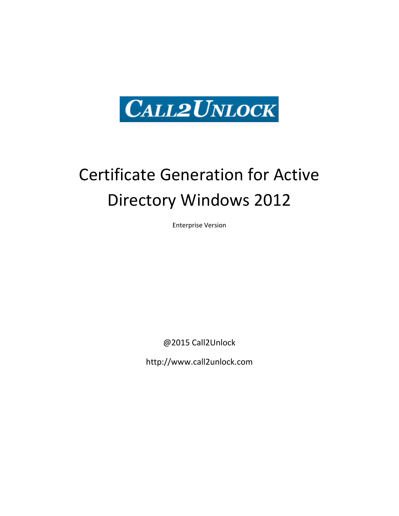

## Certificate Generation for Active Directory Windows 2012

Enterprise Version

@2015 Call2Unlock

http://www.call2unlock.com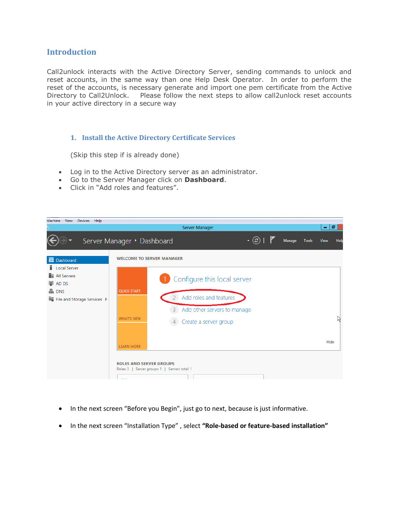## **Introduction**

Call2unlock interacts with the Active Directory Server, sending commands to unlock and reset accounts, in the same way than one Help Desk Operator. In order to perform the reset of the accounts, is necessary generate and import one pem certificate from the Active Directory to Call2Unlock. Please follow the next steps to allow call2unlock reset accounts in your active directory in a secure way

## **1. Install the Active Directory Certificate Services**

(Skip this step if is already done)

- Log in to the Active Directory server as an administrator.
- Go to the Server Manager click on **Dashboard**.
- Click in "Add roles and features".

| Machine View<br>Devices Help |                                                |                                          |             |        |                               |
|------------------------------|------------------------------------------------|------------------------------------------|-------------|--------|-------------------------------|
|                              |                                                | Server Manager                           |             |        | ο<br>$\overline{\phantom{a}}$ |
|                              | Server Manager • Dashboard                     |                                          | $\cdot$ (3) | Manage | <b>Tools</b><br>View<br>Help  |
| <b>III</b> Dashboard         | <b>WELCOME TO SERVER MANAGER</b>               |                                          |             |        |                               |
| <b>Local Server</b>          |                                                |                                          |             |        |                               |
| <b>T</b> All Servers         |                                                | Configure this local server              |             |        |                               |
| $\mathbf{F}$ AD DS           |                                                |                                          |             |        |                               |
| <b>▲ DNS</b>                 | <b>QUICK START</b>                             | Add roles and features<br>$\overline{2}$ |             |        |                               |
| File and Storage Services D  |                                                |                                          |             |        |                               |
|                              |                                                | Add other servers to manage<br>3         |             |        |                               |
|                              | <b>WHAT'S NEW</b>                              | Create a server group                    |             |        | Ŋ                             |
|                              |                                                |                                          |             |        |                               |
|                              | <b>LEARN MORE</b>                              |                                          |             |        | Hide                          |
|                              |                                                |                                          |             |        |                               |
|                              | <b>ROLES AND SERVER GROUPS</b>                 |                                          |             |        |                               |
|                              | Roles: 3   Server groups: 1   Servers total: 1 |                                          |             |        |                               |
|                              |                                                |                                          |             |        |                               |

- In the next screen "Before you Begin", just go to next, because is just informative.
- In the next screen "Installation Type" , select **"Role-based or feature-based installation"**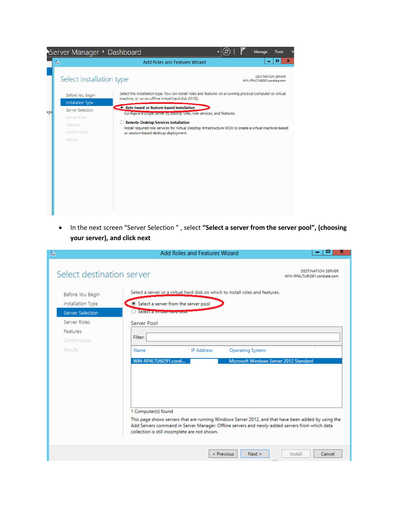|     | Server Manager • Dashboard                                                                   |                                                                                                                                                                                                                                                                                                                         |  | Manage                                                    | <b>Tools</b> |   |
|-----|----------------------------------------------------------------------------------------------|-------------------------------------------------------------------------------------------------------------------------------------------------------------------------------------------------------------------------------------------------------------------------------------------------------------------------|--|-----------------------------------------------------------|--------------|---|
|     | 科                                                                                            | Add Roles and Features Wizard                                                                                                                                                                                                                                                                                           |  | $\overline{\phantom{a}}$                                  | ۰            | x |
|     | Select installation type                                                                     |                                                                                                                                                                                                                                                                                                                         |  | <b>DESTINATION SERVER</b><br>WIN-RP4LTU6I291.cordiale.com |              |   |
|     | Before You Begin                                                                             | Select the installation type. You can install roles and features on a running physical computer or virtual<br>machine, or on an offline virtual hard disk (VHD).                                                                                                                                                        |  |                                                           |              |   |
| age | Installation Type<br>Server Selection<br>Server Roles<br>Features<br>Confirmation<br>Results | Role-based or feature-based installation<br>Configure a single server by adding roles, role services, and features.<br><b>Remote Desktop Services installation</b><br>Install required role services for Virtual Desktop Infrastructure (VDI) to create a virtual machine-based<br>or session-based desktop deployment. |  |                                                           |              |   |

 In the next screen "Server Selection " , select **"Select a server from the server pool", (choosing your server), and click next**

| ħ                                                                                     | <b>Add Roles and Features Wizard</b><br>х                                                                                                                                                                                                                                     |
|---------------------------------------------------------------------------------------|-------------------------------------------------------------------------------------------------------------------------------------------------------------------------------------------------------------------------------------------------------------------------------|
| Select destination server                                                             | DESTINATION SERVER<br>WIN-RP4LTU6I291.cordiale.com                                                                                                                                                                                                                            |
| Before You Begin<br>Installation Type<br>Server Selection<br>Server Roles<br>Features | Select a server or a virtual hard disk on which to install roles and features.<br>Select a server from the server pool<br>Selector virtual non-viele<br>Server Pool<br>Filter:                                                                                                |
| Confirmation<br>Results                                                               | <b>IP Address</b><br><b>Operating System</b><br>Name<br>Microsoft Windows Server 2012 Standard<br>WIN-RP4LTU6I291.cordi                                                                                                                                                       |
|                                                                                       | 1 Computer(s) found<br>This page shows servers that are running Windows Server 2012, and that have been added by using the<br>Add Servers command in Server Manager. Offline servers and newly-added servers from which data<br>collection is still incomplete are not shown. |
|                                                                                       | < Previous<br>Next ><br>Install<br>Cancel                                                                                                                                                                                                                                     |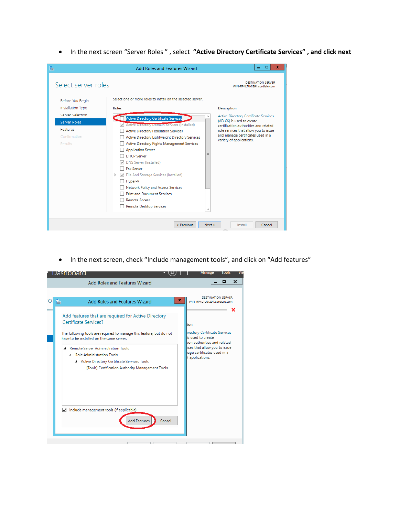In the next screen "Server Roles " , select **"Active Directory Certificate Services" , and click next**



• In the next screen, check "Include management tools", and click on "Add features"

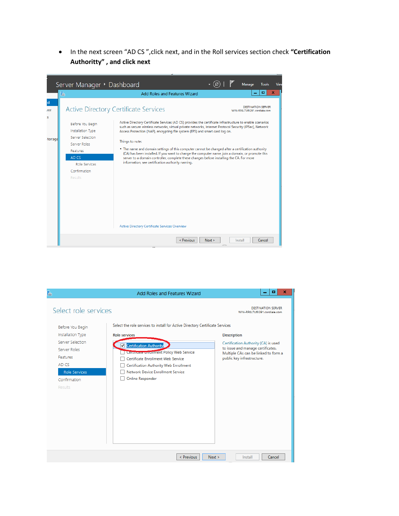In the next screen "AD CS ",click next, and in the Roll services section check **"Certification Authoritty" , and click next**



| 。<br>百                                                                                                                        | <b>Add Roles and Features Wizard</b>                                                                                                                                                                                                                            | ۰<br>×<br>-                                                                                                                                                           |
|-------------------------------------------------------------------------------------------------------------------------------|-----------------------------------------------------------------------------------------------------------------------------------------------------------------------------------------------------------------------------------------------------------------|-----------------------------------------------------------------------------------------------------------------------------------------------------------------------|
| Select role services                                                                                                          |                                                                                                                                                                                                                                                                 | <b>DESTINATION SERVER</b><br>WIN-RP4LTU6I291.cordiale.com                                                                                                             |
| Before You Begin                                                                                                              | Select the role services to install for Active Directory Certificate Services                                                                                                                                                                                   |                                                                                                                                                                       |
| Installation Type<br>Server Selection<br>Server Roles<br>Features<br>AD CS<br><b>Role Services</b><br>Confirmation<br>Results | <b>Role services</b><br><b>Certification Authority</b><br>◡<br><b>Certificate enrollment Policy Web Service</b><br>Certificate Enrollment Web Service<br>Certification Authority Web Enrollment<br>Network Device Enrollment Service<br><b>Online Responder</b> | <b>Description</b><br>Certification Authority (CA) is used<br>to issue and manage certificates.<br>Multiple CAs can be linked to form a<br>public key infrastructure. |
|                                                                                                                               | Next ><br>< Previous                                                                                                                                                                                                                                            | Cancel<br>Install                                                                                                                                                     |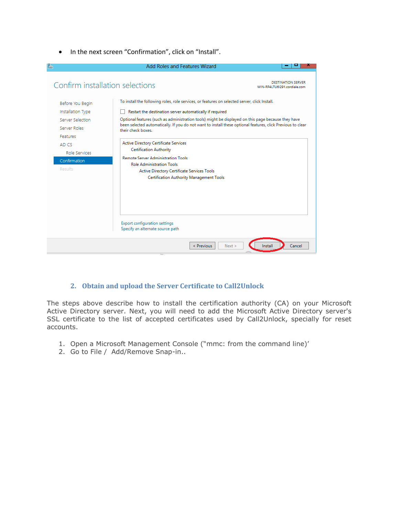• In the next screen "Confirmation", click on "Install".

| ħ                               | <b>Add Roles and Features Wizard</b>                                                                                              | ж                                                         |
|---------------------------------|-----------------------------------------------------------------------------------------------------------------------------------|-----------------------------------------------------------|
| Confirm installation selections |                                                                                                                                   | <b>DESTINATION SERVER</b><br>WIN-RP4LTU6I291.cordiale.com |
| Before You Begin                | To install the following roles, role services, or features on selected server, click Install.                                     |                                                           |
| Installation Type               | Restart the destination server automatically if required                                                                          |                                                           |
| Server Selection                | Optional features (such as administration tools) might be displayed on this page because they have                                |                                                           |
| Server Roles                    | been selected automatically. If you do not want to install these optional features, click Previous to clear<br>their check boxes. |                                                           |
| Features                        |                                                                                                                                   |                                                           |
| AD CS                           | Active Directory Certificate Services                                                                                             |                                                           |
| Role Services                   | <b>Certification Authority</b>                                                                                                    |                                                           |
| Confirmation                    | <b>Remote Server Administration Tools</b><br><b>Role Administration Tools</b>                                                     |                                                           |
| Results                         | Active Directory Certificate Services Tools<br>Certification Authority Management Tools                                           |                                                           |
|                                 | <b>Export configuration settings</b><br>Specify an alternate source path                                                          |                                                           |
|                                 | < Previous<br>Next ><br>Install<br>$\cdots$                                                                                       | Cancel                                                    |

## **2. Obtain and upload the Server Certificate to Call2Unlock**

The steps above describe how to install the certification authority (CA) on your Microsoft Active Directory server. Next, you will need to add the Microsoft Active Directory server's SSL certificate to the list of accepted certificates used by Call2Unlock, specially for reset accounts.

- 1. Open a Microsoft Management Console ("mmc: from the command line)'
- 2. Go to File / Add/Remove Snap-in..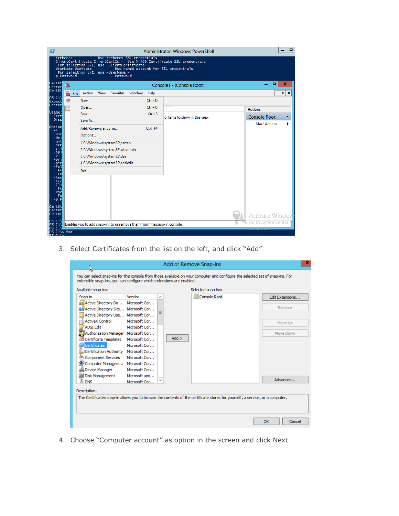| $\overline{\mathbf{z}}$<br>-Kerberos<br>-p Password                                                                                       |        |      | -UserName UserName                                              |      | -- Use Kerberos SSL credentials<br>For selection U/I, use -ClientCertificate -<br>For selection U/I, use -UserName -<br>-- Password |        |                                                      | <b>Administrator: Windows PowerShell</b><br>-ClientCertificate ClientCertId -- Use X.509 Certificate SSL credentials<br>-- Use named account for SSL credentials | о                                                               |
|-------------------------------------------------------------------------------------------------------------------------------------------|--------|------|-----------------------------------------------------------------|------|-------------------------------------------------------------------------------------------------------------------------------------|--------|------------------------------------------------------|------------------------------------------------------------------------------------------------------------------------------------------------------------------|-----------------------------------------------------------------|
| CertUt <br>CertUtl<br><b>CertUt</b>                                                                                                       | z<br>冨 | File | Action                                                          | View | <b>Favorites</b>                                                                                                                    | Window | Help                                                 | Console1 - [Console Root]                                                                                                                                        | ۰<br>x<br>$B$ $\times$<br>-                                     |
| $PS C:\Lambda$<br><b>Expect</b><br><b>CertUt</b><br>Usage:<br>Cert<br>Disp<br>Option<br>-f<br>-usel<br>-Unil<br>$-$ qmt<br>$-sec$<br>-sil |        |      | New<br>Open<br>Save<br>Save As<br>Add/Remove Snap-in<br>Options |      | 1 C:\Windows\system32\certsrv                                                                                                       |        | $Ctrl + N$<br>$Ctrl + O$<br>$Ctrl + S$<br>$Ctrl + M$ | o items to show in this view.                                                                                                                                    | <b>Actions</b><br>Console Root<br>▲<br>٠<br><b>More Actions</b> |
| $-spl$<br>-v<br>-pri<br>-pin<br>$-po1$<br>Fo<br>Fo<br>$-Ano$<br>-Ker<br>$-$ Cli<br>Fo<br>$-Use$<br>Fo<br>$-p$ $P$<br>CertUt               |        |      | Exit                                                            |      | 2 C:\Windows\system32\wbadmin<br>3 C:\Windows\system32\dsa<br>4 C:\Windows\system32\adsiedit                                        |        |                                                      |                                                                                                                                                                  |                                                                 |
| CertUt<br>CertUt<br>PS C:\<br>PS C:\<br>PS C:\<br>$PS C:\> Mmc$                                                                           |        |      |                                                                 |      |                                                                                                                                     |        |                                                      | Enables you to add snap-ins to or remove them from the snap-in console.                                                                                          | <b>Activate Window</b><br>Go to Action Center                   |

3. Select Certificates from the list on the left, and click "Add"

| Available snap-ins:<br>Snap-in                                                                                                                                                                                | Vendor                                                                            |         | Selected snap-ins:<br>Console Root                                                                                           | Edit Extensions |
|---------------------------------------------------------------------------------------------------------------------------------------------------------------------------------------------------------------|-----------------------------------------------------------------------------------|---------|------------------------------------------------------------------------------------------------------------------------------|-----------------|
| <b>Ba</b> Active Directory Do<br>圓層 Active Directory Site Microsoft Cor<br>Active Directory Use Microsoft Cor                                                                                                 | Microsoft Cor                                                                     |         |                                                                                                                              | Remove          |
| <b>ActiveX Control</b><br><b>ADST Edit</b>                                                                                                                                                                    | Microsoft Cor<br>Microsoft Cor                                                    |         |                                                                                                                              | Move Up         |
| Authorization Manager Microsoft Cor<br>Certificate Templates<br><b>Certificates</b><br>Certification Authority Microsoft Cor<br><b>Component Services</b><br>Computer Managem Microsoft Cor<br>Device Manager | Microsoft Cor<br>Microsoft Cor<br>Microsoft Cor<br>Microsoft Cor<br>Microsoft and | $Add$ > |                                                                                                                              | Move Down       |
| Disk Management<br>$m = 5$                                                                                                                                                                                    | Microsoft Cor                                                                     |         |                                                                                                                              | Advanced        |
| Description:                                                                                                                                                                                                  |                                                                                   |         | The Certificates snap-in allows you to browse the contents of the certificate stores for yourself, a service, or a computer. |                 |

4. Choose "Computer account" as option in the screen and click Next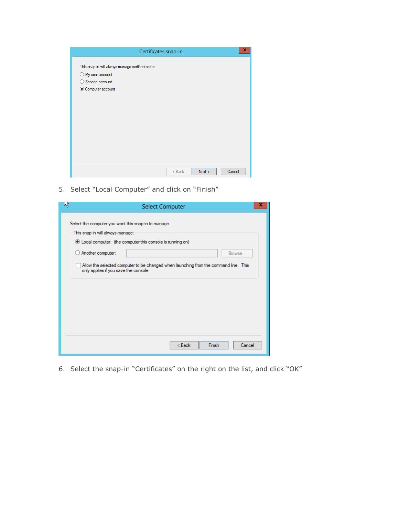| Certificates snap-in                              | x |
|---------------------------------------------------|---|
| This snap-in will always manage certificates for: |   |
| $\bigcirc$ My user account                        |   |
| ◯ Service account                                 |   |
| Computer account                                  |   |
|                                                   |   |
|                                                   |   |
|                                                   |   |
|                                                   |   |
|                                                   |   |
|                                                   |   |
|                                                   |   |
|                                                   |   |
|                                                   |   |
| Next<br>Cancel<br>$Back$                          |   |

5. Select "Local Computer" and click on "Finish"

| Μç | x<br><b>Select Computer</b>                                                                                                                                                              |
|----|------------------------------------------------------------------------------------------------------------------------------------------------------------------------------------------|
|    | Select the computer you want this snap-in to manage.<br>This snap-in will always manage:<br>© Local computer: (the computer this console is running on)<br>○ Another computer:<br>Browse |
|    | Allow the selected computer to be changed when launching from the command line. This<br>only applies if you save the console.                                                            |
|    |                                                                                                                                                                                          |
|    |                                                                                                                                                                                          |
|    | Finish<br>< Back<br>Cancel                                                                                                                                                               |

6. Select the snap-in "Certificates" on the right on the list, and click "OK"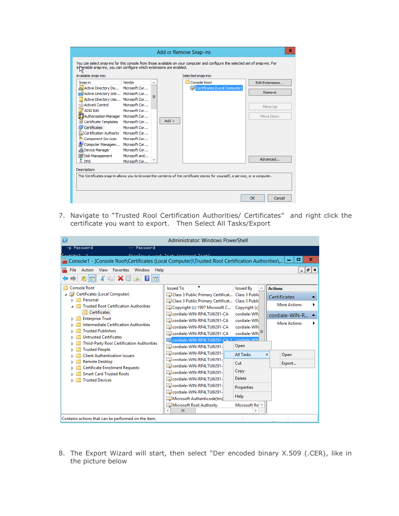| Available snap-ins:<br>Snap-in                                                                                                                                                                                                                                                                                                                                   | Vendor                                                                                                                                                |         | Selected snap-ins:<br>Console Root | <b>Edit Extensions</b>                     |
|------------------------------------------------------------------------------------------------------------------------------------------------------------------------------------------------------------------------------------------------------------------------------------------------------------------------------------------------------------------|-------------------------------------------------------------------------------------------------------------------------------------------------------|---------|------------------------------------|--------------------------------------------|
| Active Directory Do<br>開展 Active Directory Site Microsoft Cor<br>Active Directory Use Microsoft Cor<br><b>ActiveX Control</b><br><b>ADSI Edit</b><br>Authorization Manager Microsoft Cor<br>Certificate Templates<br>Certificates<br>Certification Authority<br>Component Services<br>Computer Managem Microsoft Cor<br>Device Manager<br><b>Disk Management</b> | Microsoft Cor<br>Microsoft Cor<br>Microsoft Cor<br>Microsoft Cor<br>Microsoft Cor<br>Microsoft Cor<br>Microsoft Cor<br>Microsoft Cor<br>Microsoft and | $Add$ > | Certificates (Local Computer)      | Remove<br>Move Up<br>Move Down<br>Advanced |
| $m2$ DNS<br>Description:                                                                                                                                                                                                                                                                                                                                         | Microsoft Cor                                                                                                                                         |         |                                    |                                            |

7. Navigate to "Trusted Rool Certification Authorities/ Certificates" and right click the certificate you want to export. Then Select All Tasks/Export

| <b>PE</b>                                                                                                                                                                                                                                                                                                                                                                                                                                                                                                                                                        | Administrator: Windows PowerShell                                                                                                                                                                                                                                                                                                                                                                                                                                                                                 |                                                                                                                                                                                          |                                                                                                                                        |
|------------------------------------------------------------------------------------------------------------------------------------------------------------------------------------------------------------------------------------------------------------------------------------------------------------------------------------------------------------------------------------------------------------------------------------------------------------------------------------------------------------------------------------------------------------------|-------------------------------------------------------------------------------------------------------------------------------------------------------------------------------------------------------------------------------------------------------------------------------------------------------------------------------------------------------------------------------------------------------------------------------------------------------------------------------------------------------------------|------------------------------------------------------------------------------------------------------------------------------------------------------------------------------------------|----------------------------------------------------------------------------------------------------------------------------------------|
| -p Password<br>Password<br>an an Aire<br>Console1 - [Console Root\Certificates (Local Computer)\Trusted Root Certification Authorities\<br>Action View<br>Favorites<br>Window<br>File                                                                                                                                                                                                                                                                                                                                                                            | milleting include time from model times                                                                                                                                                                                                                                                                                                                                                                                                                                                                           |                                                                                                                                                                                          | x<br>o                                                                                                                                 |
| Help<br>$\mathcal{S}$ by<br>Ⅹ圖■<br>屙<br>扇<br><b>Console Root</b><br>Certificates (Local Computer)<br>Personal<br><b>Trusted Root Certification Authorities</b><br>Certificates<br><b>Enterprise Trust</b><br>Intermediate Certification Authorities<br><b>Trusted Publishers</b><br><b>Untrusted Certificates</b><br>Third-Party Root Certification Authorities<br><b>Trusted People</b><br><b>Client Authentication Issuers</b><br><b>Remote Desktop</b><br><b>Certificate Enrollment Requests</b><br><b>Smart Card Trusted Roots</b><br><b>Trusted Devices</b> | <b>Issued To</b><br>Class 3 Public Primary Certificat<br>Class 3 Public Primary Certificat<br>Copyright (c) 1997 Microsoft C<br>cordiale-WIN-RP4LTU6I291-CA<br>cordiale-WIN-RP4LTU6I291-CA<br>cordiale-WIN-RP4LTU6I291-CA<br>cordiale-WIN-RP4LTU6I291-CA<br>Cordiale-WIN-RP4LTU6I291-CA-1 cordiale-WII<br>cordiale-WIN-RP4LTU6I291-<br>cordiale-WIN-RP4LTU6I291-<br>cordiale-WIN-RP4LTU6I291-<br>cordiale-WIN-RP4LTU6I291-<br>cordiale-WIN-RP4LTU6I291-<br>cordiale-WIN-RP4LTU6I291-<br>cordiale-WIN-RP4LTU6I291- | <b>Issued By</b><br>Α<br>Class 3 Public<br>Class 3 Public<br>Copyright (c)<br>cordiale-WIN<br>cordiale-WIN<br>cordiale-WIN<br>cordiale-WIN<br>Open<br>All Tasks<br>Cut<br>Copy<br>Delete | $  E  \times$<br><b>Actions</b><br>Certificates<br><b>More Actions</b><br>cordiale-WIN-R<br><b>More Actions</b><br>Open<br>ь<br>Export |
| Contains actions that can be performed on the item.                                                                                                                                                                                                                                                                                                                                                                                                                                                                                                              | cordiale-WIN-RP4LTU6I291-<br>Microsoft Authenticode(tm)<br>Microsoft Root Authority<br>Ш                                                                                                                                                                                                                                                                                                                                                                                                                          | Properties<br>Help<br>Microsoft Ro Y<br>$\rightarrow$                                                                                                                                    |                                                                                                                                        |

8. The Export Wizard will start, then select "Der encoded binary X.509 (.CER), like in the picture below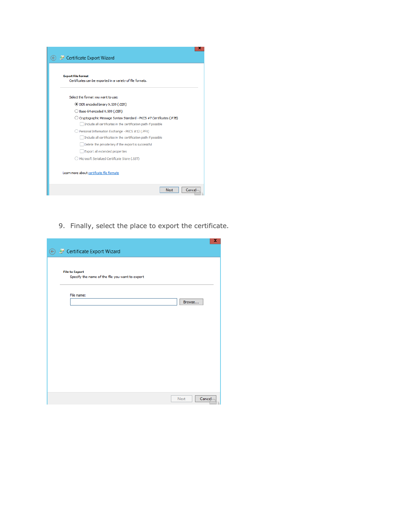

9. Finally, select the place to export the certificate.

|                                                                          | x,             |
|--------------------------------------------------------------------------|----------------|
| ← & Certificate Export Wizard                                            |                |
|                                                                          |                |
|                                                                          |                |
| <b>File to Export</b><br>Specify the name of the file you want to export |                |
|                                                                          |                |
|                                                                          |                |
| File name:                                                               |                |
|                                                                          | Browse         |
|                                                                          |                |
|                                                                          |                |
|                                                                          |                |
|                                                                          |                |
|                                                                          |                |
|                                                                          |                |
|                                                                          |                |
|                                                                          |                |
|                                                                          |                |
|                                                                          |                |
|                                                                          |                |
|                                                                          |                |
|                                                                          | Cancel<br>Next |